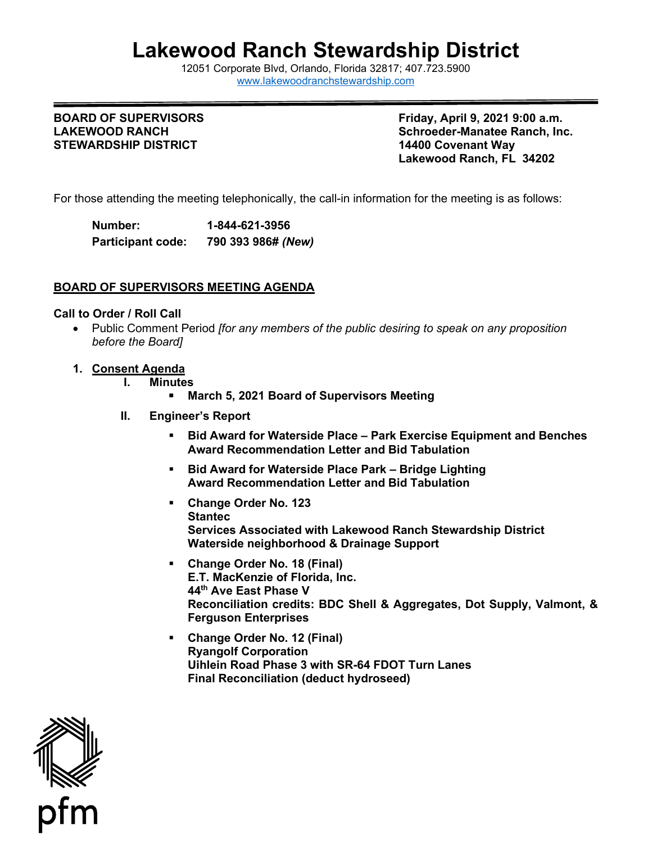# **Lakewood Ranch Stewardship District**

12051 Cor[porate Blvd, Orlando, Florida 32817; 407](http://www.lakewoodranchstewardship.com/).723.5900 [www.lakewoodranchstewardship.com](http://www.lakewoodranchstewardship.com/) 

### **BOARD OF SUPERVISORS LAKEWOOD RANCH STEWARDSHIP DISTRICT 14400 Covenant Way**

**Friday, April 9, 2021 9:00 a.m. Schroeder-Manatee Ranch, Inc. Lakewood Ranch, FL 34202** 

For those attending the meeting telephonically, the call-in information for the meeting is as follows:

Number: **Participant code: Number: 1-844-621-3956 Participant code: 790 393 986#** *(New)*

#### **BOARD OF SUPERVISORS MEETING AGENDA**

#### **Call to Order / Roll Call**

- Public Comment Period *[for any members of the public desiring to speak on any proposition before the Board]*
- **1. Consent Agenda**
	- **I. Minutes** 
		- **March 5, 2021 Board of Supervisors Meeting**
	- **II. Engineer's Report** 
		- **Bid Award for Waterside Place Park Exercise Equipment and Benches Award Recommendation Letter and Bid Tabulation**
		- **Bid Award for Waterside Place Park Bridge Lighting Award Recommendation Letter and Bid Tabulation**
		- **Change Order No. 123 Stantec Services Associated with Lakewood Ranch Stewardship District Waterside neighborhood & Drainage Support**
		- 44th Ave East Phase V 44<sup>th</sup> Ave East Phase V<br>Reconciliation credits: BDC Shell & Aggregates, Dot Supply, Valmont, & **Change Order No. 18 (Final) E.T. MacKenzie of Florida, Inc. Ferguson Enterprises**
		- **Change Order No. 12 (Final) Ryangolf Corporation Uihlein Road Phase 3 with SR-64 FDOT Turn Lanes Final Reconciliation (deduct hydroseed)**

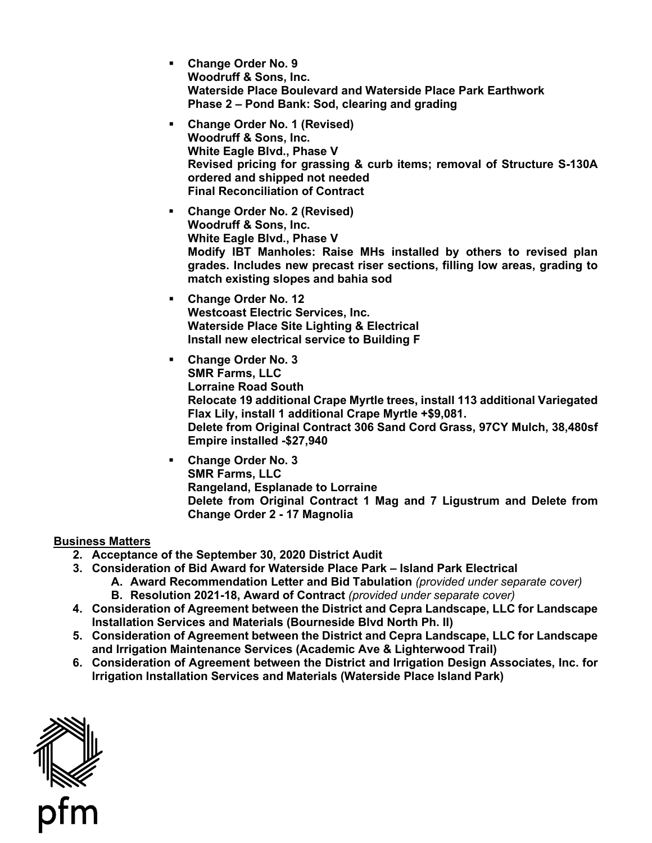- **Phase 2 Pond Bank: Sod, clearing and grading Change Order No. 9 Woodruff & Sons, Inc. Waterside Place Boulevard and Waterside Place Park Earthwork**
- **Revised pricing for grassing & curb items; removal of Structure S-130A ordered and shipped not needed Change Order No. 1 (Revised) Woodruff & Sons, Inc. White Eagle Blvd., Phase V Final Reconciliation of Contract**
- **Change Order No. 2 (Revised) Modify IBT Manholes: Raise MHs installed by others to revised plan grades. Includes new precast riser sections, filling low areas, grading to Woodruff & Sons, Inc. White Eagle Blvd., Phase V match existing slopes and bahia sod**
- **Install new electrical service to Building F Change Order No. 12 Westcoast Electric Services, Inc. Waterside Place Site Lighting & Electrical**
- **Delete from Original Contract 306 Sand Cord Grass, 97CY Mulch, 38,480sf Change Order No. 3 SMR Farms, LLC Lorraine Road South Relocate 19 additional Crape Myrtle trees, install 113 additional Variegated Flax Lily, install 1 additional Crape Myrtle +\$9,081. Empire installed -\$27,940**
- **Delete from Original Contract 1 Mag and 7 Ligustrum and Delete from Change Order No. 3 SMR Farms, LLC Rangeland, Esplanade to Lorraine Change Order 2 - 17 Magnolia**

#### **Business Matters**

- **2. Acceptance of the September 30, 2020 District Audit**
- **3. Consideration of Bid Award for Waterside Place Park Island Park Electrical** 
	- **A. Award Recommendation Letter and Bid Tabulation** *(provided under separate cover)*  **B. Resolution 2021-18, Award of Contract** *(provided under separate cover)*
- **4. Consideration of Agreement between the District and Cepra Landscape, LLC for Landscape Installation Services and Materials (Bourneside Blvd North Ph. II)**
- **5. Consideration of Agreement between the District and Cepra Landscape, LLC for Landscape and Irrigation Maintenance Services (Academic Ave & Lighterwood Trail)**
- **6. Consideration of Agreement between the District and Irrigation Design Associates, Inc. for Irrigation Installation Services and Materials (Waterside Place Island Park)**